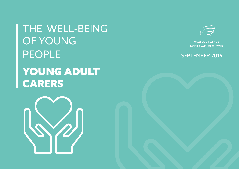THE WELL-BEING OF YOUNG PEOPLE YOUNG ADULT **CARERS** 





SWYDDFA ARCHWILIO CYMRU

# SEPTEMBER 2019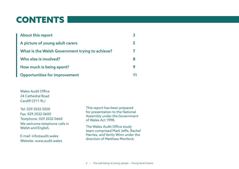# CONTENTS

| <b>About this report</b>                        |   |
|-------------------------------------------------|---|
| A picture of young adult carers                 |   |
| What is the Welsh Government trying to achieve? |   |
| Who else is involved?                           | 8 |
| How much is being spent?                        |   |
| <b>Opportunities for improvement</b>            |   |

Wales Audit Office 24 Cathedral Road Cardiff CF11 9LJ

Tel: 029 2032 0500 Fax: 029 2032 0600 Textphone: 029 2032 0660 We welcome telephone calls in Welsh and English.

E-mail: info@audit.wales Website: www.audit.wales This report has been prepared for presentation to the National Assembly under the Government of Wales Act 1998.

The Wales Audit Office study team comprised Mark Jeffs, Rachel Harries, and Verity Winn under the direction of Matthew Mortlock.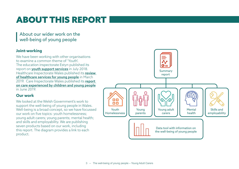# ABOUT THIS REPORT

About our wider work on the well-being of young people

### **Joint-working**

We have been working with other organisations to examine a common theme of 'Youth'. The education inspectorate Estyn published its report on **[youth support services](https://www.estyn.gov.wales/thematic-reports/youth-support-services-wales)** in July 2018. Healthcare Inspectorate Wales published its review [of healthcare services for young people](https://hiw.org.uk/hiw-publishes-review-healthcare-services-young-people) in March 2019. Care Inspectorate Wales published its report [on care experienced by children and young people](https://careinspectorate.wales/sites/default/files/2019-06/190619-national-overview-report-en_2.pdf) in June 2019.

# **Our work**

We looked at the Welsh Government's work to support the well-being of young people in Wales. Well-being is a broad concept, so we have focussed our work on five topics: youth homelessness; young adult carers; young parents; mental health; and skills and employability. We are publishing seven products based on our work, including this report. The diagram provides a link to each product.

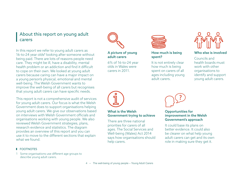# About this report on young adult carers

In this report we refer to young adult carers as 16-to-24 year olds<sup>1</sup> looking after someone without being paid. There are lots of reasons people need care. They might be ill, have a disability, mental health problem or an addiction and find it difficult to cope on their own. We looked at young adult carers because caring can have a major impact on a young person's physical, emotional and mental well-being. The Welsh Government wants to improve the well-being of all carers but recognises that young adult carers can have specific needs.

This report is not a comprehensive audit of services for young adult carers. Our focus is what the Welsh Government does to support organisations helping young adult carers. We give our observations based on interviews with Welsh Government officials and organisations working with young people. We also reviewed Welsh Government strategies, plans, research evidence and statistics. The diagram provides an overview of this report and you can use it to move to the different sections that explain what we found.



### [A picture of young](#page-4-0)  [adult carers](#page-4-0)

[6% of 16-to-24 year](#page-4-0)  [olds in Wales were](#page-4-0)  [carers in 2011.](#page-4-0)



### [How much is being](#page-8-0)  [spent?](#page-8-0)

[It is not entirely clear](#page-8-0)  [how much is being](#page-8-0)  [spent on carers of all](#page-8-0)  [ages including young](#page-8-0)  [adult carers.](#page-8-0)



### [Who else is involved](#page-7-0)

[Councils and](#page-7-0)  [health boards must](#page-7-0)  [work with other](#page-7-0)  [organisations to](#page-7-0)  [identify and support](#page-7-0)  [young adult carers.](#page-7-0)



### [What is the Welsh](#page-6-0)  [Government trying to achieve](#page-6-0)

[There are three national](#page-6-0)  [priorities for carers of all](#page-6-0)  [ages. The Social Services and](#page-6-0)  [Well-being \(Wales\) Act 2014](#page-6-0)  [says how organisations should](#page-6-0)  [help carers.](#page-6-0)



### [Opportunities for](#page-10-0)  [improvement in the Welsh](#page-10-0)  [Government's approach](#page-10-0)

[It could base its plans on](#page-10-0)  [better evidence. It could also](#page-10-0)  [be clearer on what help young](#page-10-0)  [adult carers can get and its own](#page-10-0)  [role in making sure they get it.](#page-10-0) 

### **FOOTNOTES**

1 Some organisations use different age groups to describe young adult carers.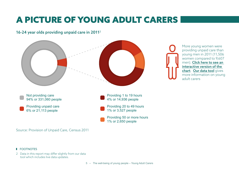# <span id="page-4-0"></span>A PICTURE OF YOUNG ADULT CARERS

# 16-24 year olds providing unpaid care in 2011<sup>2</sup>



Source: Provision of Unpaid Care, Census 2011

#### **FOOTNOTES**

2 Data in this report may differ slightly from our data tool which includes live data updates.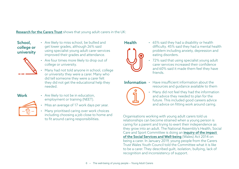### [Research for the Carers Trust](https://carers.org/time-be-heard
) shows that young adult carers in the UK:

School, college or university

- Are likely to miss school, be bullied and get lower grades, although 26% said using specialist young adult carer services improved their grades and attendance.
- Are four times more likely to drop out of college or university.
	- Many had not told anyone in school, college or university they were a carer. Many who did tell someone they were a carer felt they did not get the educational help they needed.

# Work • Are likely to not be in education,

- employment or training (NEET). • Miss an average of 17 work days per year.
	- Many prioritised caring over work choices
	- including choosing a job close to home and to fit around caring responsibilities.



- Health 65% said they had a disability or health difficulty. 45% said they had a mental health problem including anxiety, depression and eating disorders.
	- 72% said that using specialist young adult carer services increased their confidence and 60% said it made them feel they have friends.

Information • Have insufficient information about the resources and guidance available to them



• Many did not feel they had the information and advice they needed to plan for the future. This included good careers advice and advice on fitting work around caring.

Organisations working with young adult carers told us relationships can become strained when a young person is caring for a parent and trying to exert their independence as they grow into an adult. The National Assembly's Health, Social Care and Sport Committee is doing an *inquiry of the impact* [of the Social Services and Well-being](http://senedd.assembly.wales/mgIssueHistoryHome.aspx?IId=022518) (Wales) Act 2014 on being a carer. In January 2019, young people from the Carers Trust Wales Youth Council told the Committee what it is like to be a carer. They described guilt, isolation, bullying, lack of recognition and inconsistency of support.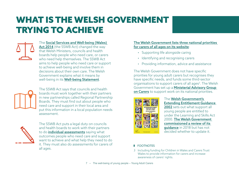# <span id="page-6-0"></span>WHAT IS THE WELSH GOVERNMENT TRYING TO ACHIEVE

The [Social Services and Well-being \(Wales\)](https://www.legislation.gov.uk/anaw/2014/4/contents)  [Act 2014](https://www.legislation.gov.uk/anaw/2014/4/contents) (the SSWB Act) changed the way that Welsh Ministers, councils and health boards help people who need care, or carers who need help themselves. The SSWB Act aims to help people who need care or support to achieve well-being and involve them in decisions about their own care. The Welsh Government explains what it means by well-being in its [Well-being Statement](https://gweddill.gov.wales/docs/dhss/publications/160831well-being-statementen.pdf).



The SSWB Act says that councils and health boards must work together with their partners in new partnerships called Regional Partnership Boards. They must find out about people who need care and support in their local area and put this information in a local population needs assessment.



The SSWB Act puts a legal duty on councils and health boards to work with their partners to do *individual* assessments saying what outcomes people who need care and support want to achieve and what help they need to do it. They must also do assessments for carers of all ages.<br>3 Including funding for Children in Wales and Carers Trust

### [The Welsh Government lists three national priorities](https://gov.wales/carers-rights-day-welsh-government-unveil-new-plans-improve-lives-carers-0)  [for carers of all ages on its website](https://gov.wales/carers-rights-day-welsh-government-unveil-new-plans-improve-lives-carers-0):

- Supporting life alongside caring
- Identifying and recognising carers
- Providing information, advice and assistance

The Welsh Government does not have specific priorities for young adult carers but recognises they have specific needs, and funds some third-sector organisations to support carers of all ages<sup>3</sup>. The Welsh Government has set up a Ministerial Advisory Group [on Carers](https://gov.wales/ministerial-advisory-group-carers) to support work on its national priorities.



The [Welsh Government's](https://gov.wales/extending-entitlement-direction-and-guidance)  [Extending Entitlement Guidance](https://gov.wales/extending-entitlement-direction-and-guidance)  [2002](https://gov.wales/extending-entitlement-direction-and-guidance) sets out what support all young people are entitled to under the Learning and Skills Act 2000. [The Welsh Government](https://gov.wales/sites/default/files/publications/2018-04/180316-our-future-a-review-of-extending-entitlement_0.pdf)  [commissioned a review of its](https://gov.wales/sites/default/files/publications/2018-04/180316-our-future-a-review-of-extending-entitlement_0.pdf)  quidance in 2018 but has not decided whether to update it.

### **I** FOOTNOTES

Wales to provide information for carers and increase awareness of carers' rights.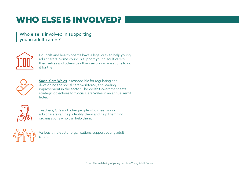# <span id="page-7-0"></span>WHO ELSE IS INVOLVED?

# Who else is involved in supporting young adult carers?



Councils and health boards have a legal duty to help young adult carers. Some councils support young adult carers themselves and others pay third-sector organisations to do it for them.



[Social Care Wales](https://socialcare.wales/
) is responsible for regulating and developing the social care workforce, and leading improvement in the sector. The Welsh Government sets strategic objectives for Social Care Wales in an annual remit letter.



Teachers, GPs and other people who meet young adult carers can help identify them and help them find organisations who can help them.



Various third-sector organisations support young adult carers.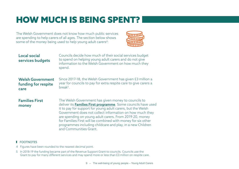# <span id="page-8-0"></span>HOW MUCH IS BEING SPENT?

The Welsh Government does not know how much public services are spending to help carers of all ages. The section below shows some of the money being used to help young adult carers<sup>4</sup>:



| <b>Local social</b><br>services budgets                | Councils decide how much of their social services budget<br>to spend on helping young adult carers and do not give<br>information to the Welsh Government on how much they<br>spend.                                                                                                                                                                                                                                                                                       |
|--------------------------------------------------------|----------------------------------------------------------------------------------------------------------------------------------------------------------------------------------------------------------------------------------------------------------------------------------------------------------------------------------------------------------------------------------------------------------------------------------------------------------------------------|
| <b>Welsh Government</b><br>funding for respite<br>care | Since 2017-18, the Welsh Government has given £3 million a<br>year for councils to pay for extra respite care to give carers a<br>break $5$ .                                                                                                                                                                                                                                                                                                                              |
| <b>Families First</b><br>money                         | The Welsh Government has given money to councils to<br>deliver its <b>Families First programme</b> . Some councils have used<br>it to pay for support for young adult carers, but the Welsh<br>Government does not collect information on how much they<br>are spending on young adult carers. From 2019-20, money<br>for Families First will be combined with money for six other<br>programmes including childcare and play, in a new Children<br>and Communities Grant. |

#### **I** FOOTNOTES

- 4 Figures have been rounded to the nearest decimal point.
- 5 In 2018-19 the funding became part of the Revenue Support Grant to councils. Councils use the Grant to pay for many different services and may spend more or less than £3 million on respite care.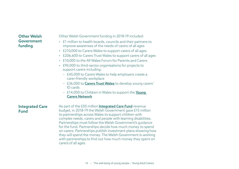# Other Welsh Government funding

Other Welsh Government funding in 2018-19 included:

- £1 million to health boards, councils and their partners to improve awareness of the needs of carers of all ages
- £210,000 to Carers Wales to support carers of all ages
- £206,600 to Carers Trust Wales to support carers of all ages
- £10,000 to the All Wales Forum for Parents and Carers
- £95,000 to third-sector organisations for projects to support carers including:
	- £45,000 to Carers Wales to help employers create a carer-friendly workplace
	- £36,000 to **[Carers Trust Wales](https://carers.org/country/carers-trust-wales-cymru)** to develop young carers' ID cards
	- £14,000 to Children in Wales to support the **Young** [Carers Network](http://www.childreninwales.org.uk/our-work/young-carers/)

Integrated Care Fund

As part of the £50 million [Integrated Care Fund](https://gov.wales/integrated-care-fund-2019-guidance) revenue budget, in 2018-19 the Welsh Government gave £15 million to partnerships across Wales to support children with complex needs, carers and people with learning disabilities. Partnerships must follow the Welsh Government's guidance for the fund. Partnerships decide how much money to spend on carers. Partnerships publish investment plans showing how they will spend the money. The Welsh Government is working with partnerships to find out how much money they spent on carers of all ages.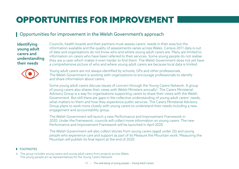# <span id="page-10-0"></span>OPPORTUNITIES FOR IMPROVEMENT

# Opportunities for improvement in the Welsh Government's approach

**Identifying** young adult carers and understanding their needs

Councils, health boards and their partners must assess carers' needs in their area but the information available and the quality of assessments varies across Wales. Census 2011 data is out of date and organisations do not know who and where young adult carers are. Many are limited to information on carers who have been referred to their services. Some young people do not realise they are a carer which makes it even harder to find them. The Welsh Government does not yet have a comprehensive picture of who and where young adult carers are because local data is limited.



Young adult carers are not always identified by schools, GPs and other professionals. The Welsh Government is working with organisations to encourage professionals to identify and share information about carers.

Some young adult carers discuss issues of concern through the Young Carers Network. A group of young carers also shares their views with Welsh Ministers annually<sup>6</sup>. The Carers Ministerial Advisory Group is a way for organisations supporting carers to share their views with the Welsh Government. But still there are gaps in the collective understanding of young adult carers' needs, what matters to them and how they experience public services. The Carers Ministerial Advisory Group plans to work more closely with young carers to understand their needs including a new engagement and accountability group.

The Welsh Government will launch a new Performance and Improvement Framework in 2020. Under the Framework, councils will collect more information on young carers. The new Performance and Improvement Framework will be launched in April 2020.

The Welsh Government will also collect stories from young carers (aged under 25) and young people who experience care and support as part of its Measure the Mountain work. Measuring the Mountain will publish its final report at the end of 2020.

### **FOOTNOTES**

6 The group includes young carers and young adult carers from projects across Wales. The young people act as representatives for the Young Carers Network.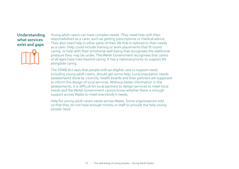### Understanding what services exist and gaps



Young adult carers can have complex needs. They need help with their responsibilities as a carer, such as getting prescriptions or medical advice. They also need help in other parts of their life that is tailored to their needs as a carer. Help could include training or work placements that fit round caring, or help with their emotional well-being that recognises the additional pressure they may be under. The Welsh Government recognises that carers of all ages have lives beyond caring. It has a national priority to support life alongside caring.

The SSWB Act says that people with an eligible care or support need, including young adult carers, should get some help. Local population needs assessments done by councils, health boards and their partners are supposed to inform the design of local services. Without better information in the assessments, it is difficult for local partners to design services to meet local needs and the Welsh Government cannot know whether there is enough support across Wales to meet everybody's needs.

Help for young adult carers varies across Wales. Some organisations told us that they do not have enough money or staff to provide the help young people need.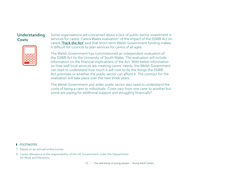# Understanding **Costs**



Some organisations are concerned about a lack of public sector investment in services for carers. Carers Wales evaluation<sup>7</sup> of the impact of the SSWB Act on carers ['Track the Act'](https://www.carersuk.org/wales/news-campaigns/track-the-act) said that short-term Welsh Government funding makes it difficult for councils to plan services for carers of all ages.

The Welsh Government has commissioned an independent evaluation of the SSWB Act by the University of South Wales. The evaluation will include information on the financial implications of the Act. With better information on how well local services are meeting carers' needs, the Welsh Government can start to understand how much it will cost to do the things the SSWB Act promises or whether the public sector can afford it. The contract for the evaluation will take place over the next three years.

The Welsh Government and wider public sector also need to understand the costs of being a carer to individuals. Costs vary from one carer to another but some are paying for additional support and struggling financially<sup>8</sup>.

#### **FOOTNOTES**

7 Based on an annual online survey.

8 Carers Allowance is the responsibility of the UK Government under the Department for Work and Pensions.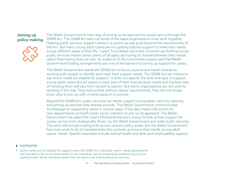# Joining up policy making



The Welsh Government's main way of joining up its approach to social care is through the SSWB Act. The SSWB Act sets out some of the ways organisations must work together. Helping public services support carers in a joined-up way goes beyond the requirements of the Act. But many young adult carers are not getting tailored support to meet their needs across different areas of their life. Carers Trust Wales said a lack of joined-up thinking across public services means some carers (of all ages) are having to choose between their needs rather than having them all met. Its evidence to the Committee inquiry said that Welsh Government funding arrangements are one of the barriers to joining up support for carers.

The Welsh Government wants the SSWB Act to focus councils and health boards on working with people to identify and meet their support needs. The SSWB Act set criteria to say which needs are eligible for support<sup>9</sup>. It does not specify the level and type of support young adult carers should expect in each part of their lives because needs and the best way of meeting them will vary from person to person. But some organisations are not used to working in this way. They told us that without clearer requirements, they did not always know who to join up with or what support to provide.

Beyond the SSWB Act, public services can better support young adult carers by tailoring and joining up services they already provide. The Welsh Government communicates its message on supporting carers in various ways. It has also made links across its own departments and with public sector partners to join up its approach. The Welsh Government has asked the Carers Ministerial Advisory Group to look at how support for carers can be more strategically driven, by the Welsh Government and wider public services. The work will include making links across relevant policy areas. But the Welsh Government has more work to do to translate links into a joined-up service that meets young adult carers' needs. Specific examples include mental health and skills and employability support.

#### **I** FOOTNOTES

9 Some needs are not eligible for support under the SSWB Act. Individual carers' needs assessments are intended to focus on what matters to the individual, and on preventing problems occurring or getting worse. Some individual needs may not need to be met by statutory services.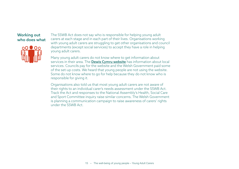### Working out who does what



The SSWB Act does not say who is responsible for helping young adult carers at each stage and in each part of their lives. Organisations working with young adult carers are struggling to get other organisations and council departments (except social services) to accept they have a role in helping young adult carers.

Many young adult carers do not know where to get information about services in their area. The **[Dewis Cymru website](https://www.dewis.wales/home)** has information about local services. Councils pay for the website and the Welsh Government paid some of the set-up costs. We heard that young people are not using the website. Some do not know where to go for help because they do not know who is responsible for giving it.

Organisations also told us that most young adult carers are not aware of their rights to an individual carer's needs assessment under the SSWB Act. Track the Act and responses to the National Assembly's Health, Social Care and Sport Committee inquiry raise similar concerns. The Welsh Government is planning a communication campaign to raise awareness of carers' rights under the SSWB Act.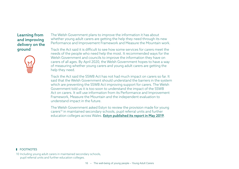### Learning from and improving delivery on the ground



The Welsh Government plans to improve the information it has about whether young adult carers are getting the help they need through its new Performance and Improvement Framework and Measure the Mountain work.

Track the Act said it is difficult to see how some services for carers meet the needs of the people who need help the most. It recommended ways for the Welsh Government and councils to improve the information they have on carers of all ages. By April 2020, the Welsh Government hopes to have a way of measuring whether young carers and young adult carers are getting the help they need.

Track the Act said the SSWB Act has not had much impact on carers so far. It said that the Welsh Government should understand the barriers in the system which are preventing the SSWB Act improving support for carers. The Welsh Government told us it is too soon to understand the impact of the SSWB Act on carers. It will use information from its Performance and Improvement Framework, Measure the Mountain and the independent evaluation to understand impact in the future.

The Welsh Government asked Estyn to review the provision made for young carers10 in maintained secondary schools, pupil referral units and further education colleges across Wales. [Estyn published its report in May 2019](https://www.estyn.gov.wales/sites/www.estyn.gov.wales/files/documents/Young%20carers%20thematic%20report%20-%20en.pdf).

#### **FOOTNOTES**

10 Including young adult carers in maintained secondary schools, pupil referral units and further education colleges.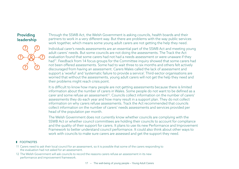# Providing leadership



Through the SSWB Act, the Welsh Government is asking councils, health boards and their partners to work in a very different way. But there are problems with the way public services work together, which means some young adult carers are not getting the help they need.

Individual carer's needs assessments are an essential part of the SSWB Act and meeting young adult carers' needs. But some councils are not doing the assessments. The Track the Act evaluation found that some carers had not had a needs assessment or were unaware if they had<sup>11</sup>. Feedback from 14 focus groups for the Committee inquiry showed that some carers had not been offered assessments. Some had to wait three to six months and others felt actively discouraged from having an assessment. Carers Wales called the lack of assessment and support a 'woeful' and 'systematic failure to provide a service'. Third-sector organisations are worried that without the assessments, young adult carers will not get the help they need and their problems might reach crisis point.

It is difficult to know how many people are not getting assessments because there is limited information about the number of carers in Wales. Some people do not want to be defined as a carer and some refuse an assessment<sup>12</sup>. Councils collect information on the number of carers' assessments they do each year and how many result in a support plan. They do not collect information on why carers refuse assessments. Track the Act recommended that councils collect information on the number of carers' needs assessments and services provided per head of the population per month.

The Welsh Government does not currently know whether councils are complying with the SSWB Act or whether council committees are holding their councils to account for compliance and the quality of their support for carers. It plans to use its new Performance and Improvement Framework to better understand council performance. It could also think about other ways to work with councils to make sure carers are assessed and get the support they need.

### **I** FOOTNOTES

- 11 Carers need to ask their local council for an assessment, so it is possible that some of the carers responding to the evaluation had not asked for an assessment.
- 12 The Welsh Government will ask councils to record the reasons carers refuse an assessment in its new performance and improvement framework.